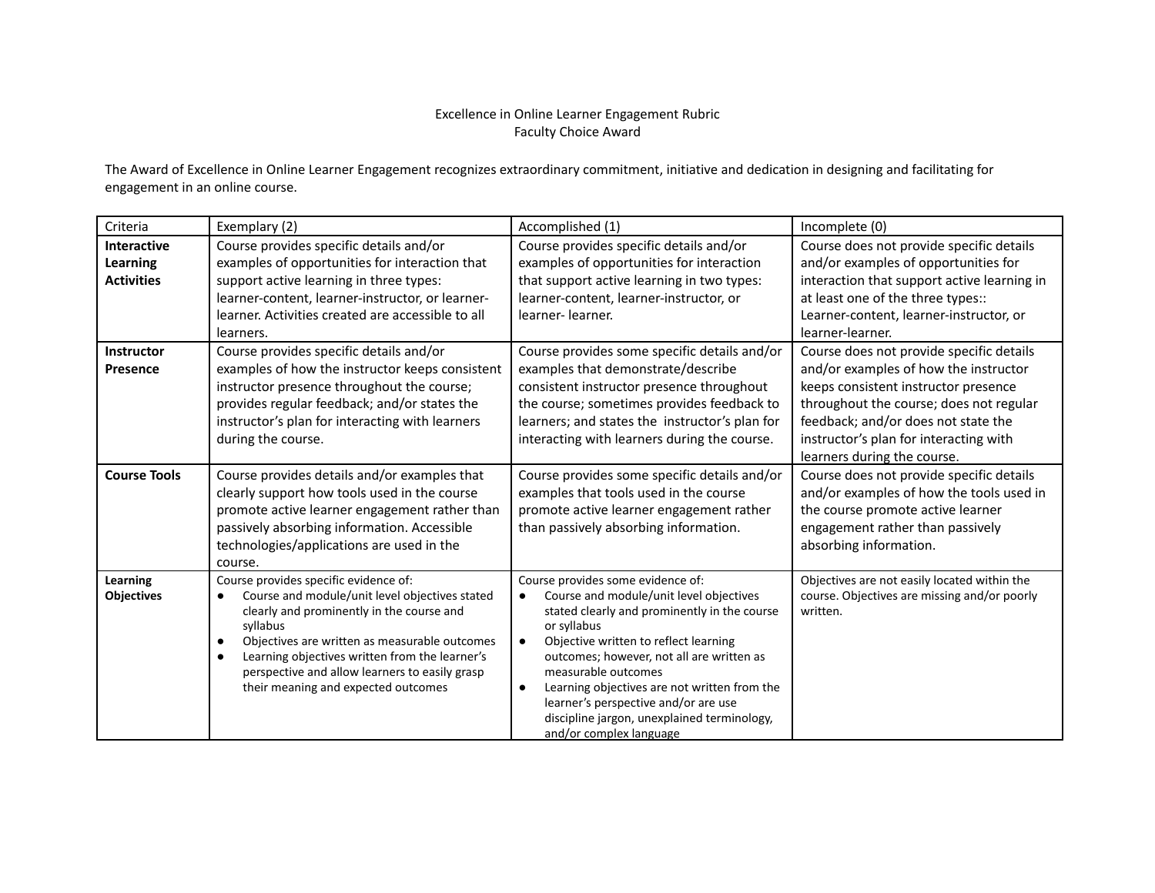## Excellence in Online Learner Engagement Rubric Faculty Choice Award

The Award of Excellence in Online Learner Engagement recognizes extraordinary commitment, initiative and dedication in designing and facilitating for engagement in an online course.

| Criteria                                                   | Exemplary (2)                                                                                                                                                                                                                                                                                                                                                               | Accomplished (1)                                                                                                                                                                                                                                                                                                                                                                                                                                     | Incomplete (0)                                                                                                                                                                                                                                                                       |
|------------------------------------------------------------|-----------------------------------------------------------------------------------------------------------------------------------------------------------------------------------------------------------------------------------------------------------------------------------------------------------------------------------------------------------------------------|------------------------------------------------------------------------------------------------------------------------------------------------------------------------------------------------------------------------------------------------------------------------------------------------------------------------------------------------------------------------------------------------------------------------------------------------------|--------------------------------------------------------------------------------------------------------------------------------------------------------------------------------------------------------------------------------------------------------------------------------------|
| <b>Interactive</b><br><b>Learning</b><br><b>Activities</b> | Course provides specific details and/or<br>examples of opportunities for interaction that<br>support active learning in three types:<br>learner-content, learner-instructor, or learner-<br>learner. Activities created are accessible to all<br>learners.                                                                                                                  | Course provides specific details and/or<br>examples of opportunities for interaction<br>that support active learning in two types:<br>learner-content, learner-instructor, or<br>learner-learner.                                                                                                                                                                                                                                                    | Course does not provide specific details<br>and/or examples of opportunities for<br>interaction that support active learning in<br>at least one of the three types::<br>Learner-content, learner-instructor, or<br>learner-learner.                                                  |
| <b>Instructor</b><br><b>Presence</b>                       | Course provides specific details and/or<br>examples of how the instructor keeps consistent<br>instructor presence throughout the course;<br>provides regular feedback; and/or states the<br>instructor's plan for interacting with learners<br>during the course.                                                                                                           | Course provides some specific details and/or<br>examples that demonstrate/describe<br>consistent instructor presence throughout<br>the course; sometimes provides feedback to<br>learners; and states the instructor's plan for<br>interacting with learners during the course.                                                                                                                                                                      | Course does not provide specific details<br>and/or examples of how the instructor<br>keeps consistent instructor presence<br>throughout the course; does not regular<br>feedback; and/or does not state the<br>instructor's plan for interacting with<br>learners during the course. |
| <b>Course Tools</b>                                        | Course provides details and/or examples that<br>clearly support how tools used in the course<br>promote active learner engagement rather than<br>passively absorbing information. Accessible<br>technologies/applications are used in the<br>course.                                                                                                                        | Course provides some specific details and/or<br>examples that tools used in the course<br>promote active learner engagement rather<br>than passively absorbing information.                                                                                                                                                                                                                                                                          | Course does not provide specific details<br>and/or examples of how the tools used in<br>the course promote active learner<br>engagement rather than passively<br>absorbing information.                                                                                              |
| Learning<br><b>Objectives</b>                              | Course provides specific evidence of:<br>Course and module/unit level objectives stated<br>٠<br>clearly and prominently in the course and<br>syllabus<br>Objectives are written as measurable outcomes<br>$\bullet$<br>Learning objectives written from the learner's<br>$\bullet$<br>perspective and allow learners to easily grasp<br>their meaning and expected outcomes | Course provides some evidence of:<br>Course and module/unit level objectives<br>stated clearly and prominently in the course<br>or syllabus<br>Objective written to reflect learning<br>$\bullet$<br>outcomes; however, not all are written as<br>measurable outcomes<br>Learning objectives are not written from the<br>$\bullet$<br>learner's perspective and/or are use<br>discipline jargon, unexplained terminology,<br>and/or complex language | Objectives are not easily located within the<br>course. Objectives are missing and/or poorly<br>written.                                                                                                                                                                             |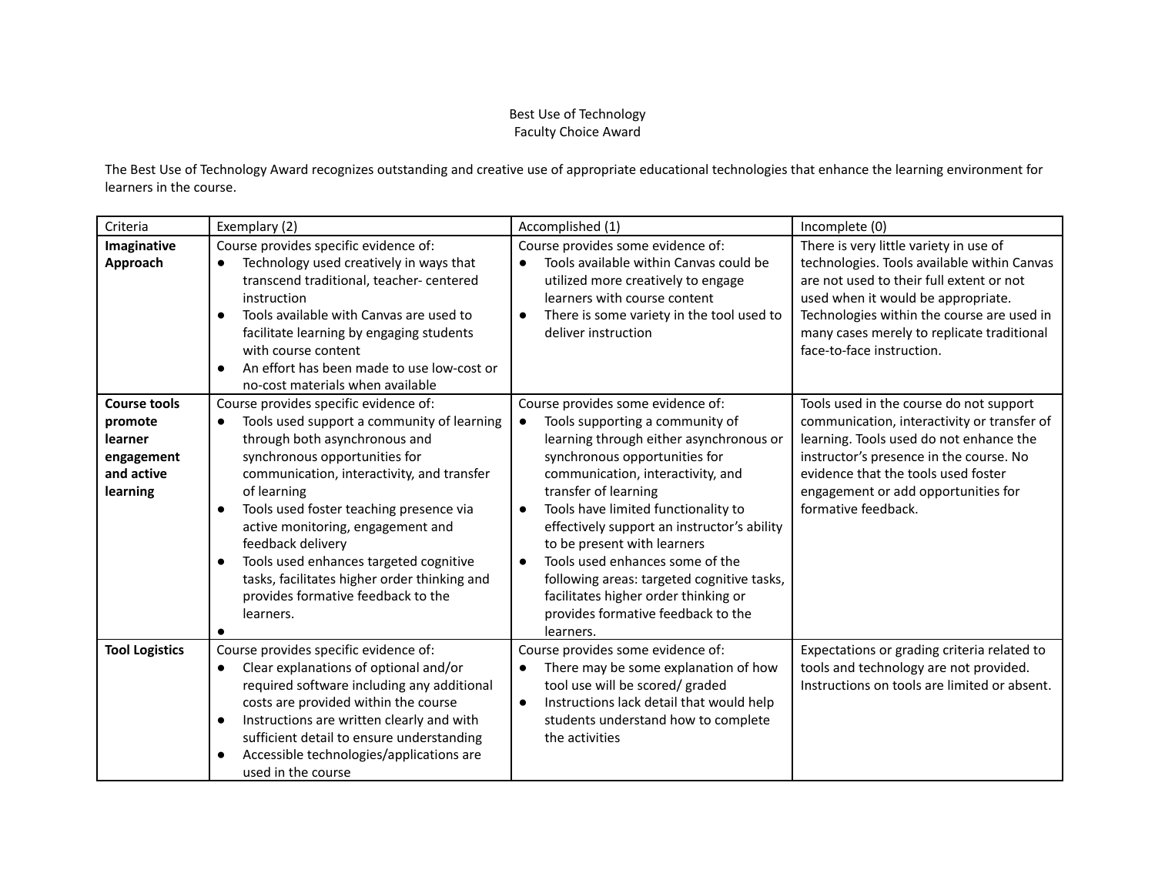## Best Use of Technology Faculty Choice Award

The Best Use of Technology Award recognizes outstanding and creative use of appropriate educational technologies that enhance the learning environment for learners in the course.

| Criteria                                                                          | Exemplary (2)                                                                                                                                                                                                                                                                                                                                                                                                                                                                                               | Accomplished (1)                                                                                                                                                                                                                                                                                                                                                                                                                                                                                                                         | Incomplete (0)                                                                                                                                                                                                                                                                                   |
|-----------------------------------------------------------------------------------|-------------------------------------------------------------------------------------------------------------------------------------------------------------------------------------------------------------------------------------------------------------------------------------------------------------------------------------------------------------------------------------------------------------------------------------------------------------------------------------------------------------|------------------------------------------------------------------------------------------------------------------------------------------------------------------------------------------------------------------------------------------------------------------------------------------------------------------------------------------------------------------------------------------------------------------------------------------------------------------------------------------------------------------------------------------|--------------------------------------------------------------------------------------------------------------------------------------------------------------------------------------------------------------------------------------------------------------------------------------------------|
| Imaginative<br>Approach                                                           | Course provides specific evidence of:<br>Technology used creatively in ways that<br>$\bullet$<br>transcend traditional, teacher- centered<br>instruction<br>Tools available with Canvas are used to<br>$\bullet$<br>facilitate learning by engaging students<br>with course content<br>An effort has been made to use low-cost or<br>$\bullet$<br>no-cost materials when available                                                                                                                          | Course provides some evidence of:<br>Tools available within Canvas could be<br>utilized more creatively to engage<br>learners with course content<br>There is some variety in the tool used to<br>$\bullet$<br>deliver instruction                                                                                                                                                                                                                                                                                                       | There is very little variety in use of<br>technologies. Tools available within Canvas<br>are not used to their full extent or not<br>used when it would be appropriate.<br>Technologies within the course are used in<br>many cases merely to replicate traditional<br>face-to-face instruction. |
| <b>Course tools</b><br>promote<br>learner<br>engagement<br>and active<br>learning | Course provides specific evidence of:<br>Tools used support a community of learning<br>$\bullet$<br>through both asynchronous and<br>synchronous opportunities for<br>communication, interactivity, and transfer<br>of learning<br>Tools used foster teaching presence via<br>$\bullet$<br>active monitoring, engagement and<br>feedback delivery<br>Tools used enhances targeted cognitive<br>$\bullet$<br>tasks, facilitates higher order thinking and<br>provides formative feedback to the<br>learners. | Course provides some evidence of:<br>Tools supporting a community of<br>learning through either asynchronous or<br>synchronous opportunities for<br>communication, interactivity, and<br>transfer of learning<br>Tools have limited functionality to<br>$\bullet$<br>effectively support an instructor's ability<br>to be present with learners<br>Tools used enhances some of the<br>$\bullet$<br>following areas: targeted cognitive tasks,<br>facilitates higher order thinking or<br>provides formative feedback to the<br>learners. | Tools used in the course do not support<br>communication, interactivity or transfer of<br>learning. Tools used do not enhance the<br>instructor's presence in the course. No<br>evidence that the tools used foster<br>engagement or add opportunities for<br>formative feedback.                |
| <b>Tool Logistics</b>                                                             | Course provides specific evidence of:<br>Clear explanations of optional and/or<br>$\bullet$<br>required software including any additional<br>costs are provided within the course<br>Instructions are written clearly and with<br>$\bullet$<br>sufficient detail to ensure understanding<br>Accessible technologies/applications are<br>$\bullet$<br>used in the course                                                                                                                                     | Course provides some evidence of:<br>There may be some explanation of how<br>$\bullet$<br>tool use will be scored/ graded<br>Instructions lack detail that would help<br>$\bullet$<br>students understand how to complete<br>the activities                                                                                                                                                                                                                                                                                              | Expectations or grading criteria related to<br>tools and technology are not provided.<br>Instructions on tools are limited or absent.                                                                                                                                                            |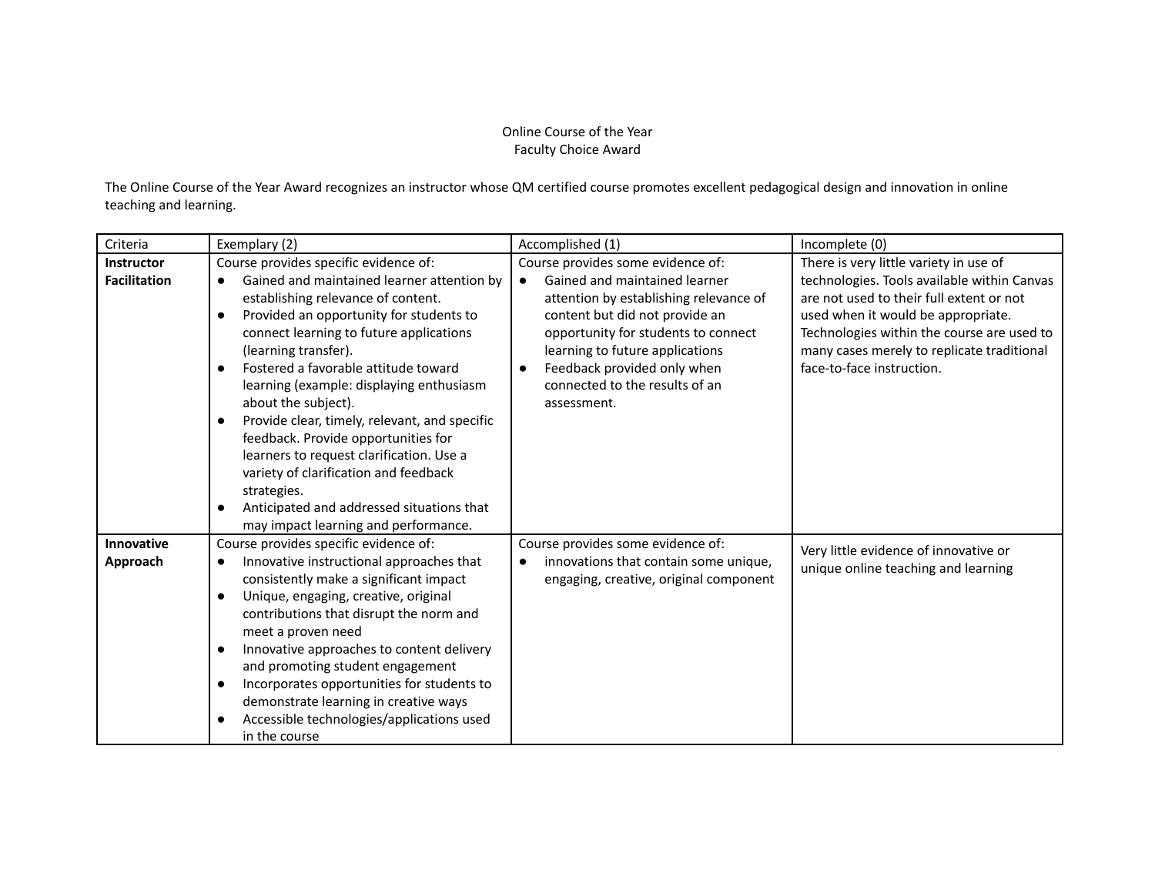## Online Course of the Year Faculty Choice Award

The Online Course of the Year Award recognizes an instructor whose QM certified course promotes excellent pedagogical design and innovation in online teaching and learning.

| Criteria                                 | Exemplary (2)                                                                                                                                                                                                                                                                                                                                                                                                                                                                                                                                                                                                                                                                           | Accomplished (1)                                                                                                                                                                                                                                                                                                      | Incomplete (0)                                                                                                                                                                                                                                                                                   |
|------------------------------------------|-----------------------------------------------------------------------------------------------------------------------------------------------------------------------------------------------------------------------------------------------------------------------------------------------------------------------------------------------------------------------------------------------------------------------------------------------------------------------------------------------------------------------------------------------------------------------------------------------------------------------------------------------------------------------------------------|-----------------------------------------------------------------------------------------------------------------------------------------------------------------------------------------------------------------------------------------------------------------------------------------------------------------------|--------------------------------------------------------------------------------------------------------------------------------------------------------------------------------------------------------------------------------------------------------------------------------------------------|
| <b>Instructor</b><br><b>Facilitation</b> | Course provides specific evidence of:<br>Gained and maintained learner attention by<br>$\bullet$<br>establishing relevance of content.<br>Provided an opportunity for students to<br>$\bullet$<br>connect learning to future applications<br>(learning transfer).<br>Fostered a favorable attitude toward<br>$\bullet$<br>learning (example: displaying enthusiasm<br>about the subject).<br>Provide clear, timely, relevant, and specific<br>$\bullet$<br>feedback. Provide opportunities for<br>learners to request clarification. Use a<br>variety of clarification and feedback<br>strategies.<br>Anticipated and addressed situations that<br>may impact learning and performance. | Course provides some evidence of:<br>Gained and maintained learner<br>$\bullet$<br>attention by establishing relevance of<br>content but did not provide an<br>opportunity for students to connect<br>learning to future applications<br>Feedback provided only when<br>connected to the results of an<br>assessment. | There is very little variety in use of<br>technologies. Tools available within Canvas<br>are not used to their full extent or not<br>used when it would be appropriate.<br>Technologies within the course are used to<br>many cases merely to replicate traditional<br>face-to-face instruction. |
| <b>Innovative</b><br>Approach            | Course provides specific evidence of:<br>Innovative instructional approaches that<br>$\bullet$<br>consistently make a significant impact<br>Unique, engaging, creative, original<br>$\bullet$<br>contributions that disrupt the norm and<br>meet a proven need<br>Innovative approaches to content delivery<br>$\bullet$<br>and promoting student engagement<br>Incorporates opportunities for students to<br>$\bullet$<br>demonstrate learning in creative ways<br>Accessible technologies/applications used<br>in the course                                                                                                                                                          | Course provides some evidence of:<br>innovations that contain some unique,<br>engaging, creative, original component                                                                                                                                                                                                  | Very little evidence of innovative or<br>unique online teaching and learning                                                                                                                                                                                                                     |